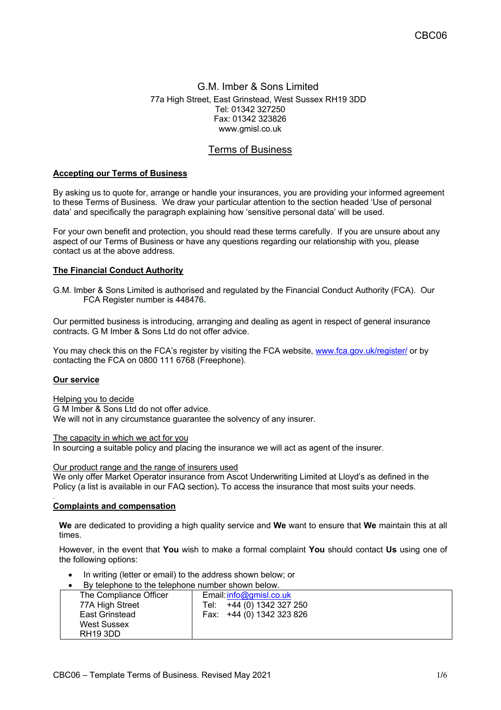## G.M. Imber & Sons Limited 77a High Street, East Grinstead, West Sussex RH19 3DD Tel: 01342 327250 Fax: 01342 323826 www.gmisl.co.uk

# Terms of Business

## **Accepting our Terms of Business**

By asking us to quote for, arrange or handle your insurances, you are providing your informed agreement to these Terms of Business. We draw your particular attention to the section headed 'Use of personal data' and specifically the paragraph explaining how 'sensitive personal data' will be used.

For your own benefit and protection, you should read these terms carefully. If you are unsure about any aspect of our Terms of Business or have any questions regarding our relationship with you, please contact us at the above address.

#### **The Financial Conduct Authority**

G.M. Imber & Sons Limited is authorised and regulated by the Financial Conduct Authority (FCA). Our FCA Register number is 448476*.*

Our permitted business is introducing, arranging and dealing as agent in respect of general insurance contracts. G M Imber & Sons Ltd do not offer advice.

You may check this on the FCA's register by visiting the FCA website, www.fca.gov.uk/register/ or by contacting the FCA on 0800 111 6768 (Freephone).

#### **Our service**

*.*

#### Helping you to decide

G M Imber & Sons Ltd do not offer advice. We will not in any circumstance guarantee the solvency of any insurer.

The capacity in which we act for you

In sourcing a suitable policy and placing the insurance we will act as agent of the insurer.

#### Our product range and the range of insurers used

We only offer Market Operator insurance from Ascot Underwriting Limited at Lloyd's as defined in the Policy (a list is available in our FAQ section)**.** To access the insurance that most suits your needs.

#### **Complaints and compensation**

**We** are dedicated to providing a high quality service and **We** want to ensure that **We** maintain this at all times.

However, in the event that **You** wish to make a formal complaint **You** should contact **Us** using one of the following options:

- In writing (letter or email) to the address shown below; or
- By telephone to the telephone number shown below.

| <u>p</u> by leter to the releptione number shown below. |                           |
|---------------------------------------------------------|---------------------------|
| The Compliance Officer                                  | Email: $info@gmisl.co.uk$ |
| 77A High Street                                         | Tel: +44 (0) 1342 327 250 |
| East Grinstead                                          | Fax: +44 (0) 1342 323 826 |
| <b>West Sussex</b>                                      |                           |
| RH <sub>19</sub> 3DD                                    |                           |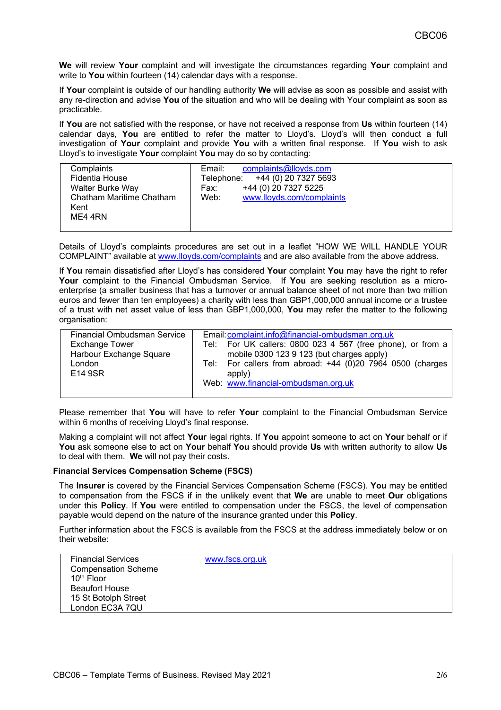**We** will review **Your** complaint and will investigate the circumstances regarding **Your** complaint and write to **You** within fourteen (14) calendar days with a response.

If **Your** complaint is outside of our handling authority **We** will advise as soon as possible and assist with any re-direction and advise **You** of the situation and who will be dealing with Your complaint as soon as practicable.

If **You** are not satisfied with the response, or have not received a response from **Us** within fourteen (14) calendar days, **You** are entitled to refer the matter to Lloyd's. Lloyd's will then conduct a full investigation of **Your** complaint and provide **You** with a written final response. If **You** wish to ask Lloyd's to investigate **Your** complaint **You** may do so by contacting:

| Complaints               | complaints@lloyds.com<br>Email:   |
|--------------------------|-----------------------------------|
| Fidentia House           | Telephone: +44 (0) 20 7327 5693   |
| <b>Walter Burke Way</b>  | +44 (0) 20 7327 5225<br>Fax:      |
| Chatham Maritime Chatham | www.lloyds.com/complaints<br>Web: |
| Kent                     |                                   |
| ME4 4RN                  |                                   |
|                          |                                   |

Details of Lloyd's complaints procedures are set out in a leaflet "HOW WE WILL HANDLE YOUR COMPLAINT" available at www.lloyds.com/complaints and are also available from the above address.

If **You** remain dissatisfied after Lloyd's has considered **Your** complaint **You** may have the right to refer **Your** complaint to the Financial Ombudsman Service. If **You** are seeking resolution as a microenterprise (a smaller business that has a turnover or annual balance sheet of not more than two million euros and fewer than ten employees) a charity with less than GBP1,000,000 annual income or a trustee of a trust with net asset value of less than GBP1,000,000, **You** may refer the matter to the following organisation:

| <b>Financial Ombudsman Service</b><br><b>Exchange Tower</b><br>Harbour Exchange Square<br>London<br>E14 9SR | Email: complaint.info@financial-ombudsman.org.uk<br>Tel: For UK callers: 0800 023 4 567 (free phone), or from a<br>mobile 0300 123 9 123 (but charges apply)<br>Tel: For callers from abroad: $+44$ (0)20 7964 0500 (charges<br>apply)<br>Web: www.financial-ombudsman.org.uk |
|-------------------------------------------------------------------------------------------------------------|-------------------------------------------------------------------------------------------------------------------------------------------------------------------------------------------------------------------------------------------------------------------------------|
|                                                                                                             |                                                                                                                                                                                                                                                                               |

Please remember that **You** will have to refer **Your** complaint to the Financial Ombudsman Service within 6 months of receiving Lloyd's final response.

Making a complaint will not affect **Your** legal rights. If **You** appoint someone to act on **Your** behalf or if **You** ask someone else to act on **Your** behalf **You** should provide **Us** with written authority to allow **Us** to deal with them. **We** will not pay their costs.

## **Financial Services Compensation Scheme (FSCS)**

The **Insurer** is covered by the Financial Services Compensation Scheme (FSCS). **You** may be entitled to compensation from the FSCS if in the unlikely event that **We** are unable to meet **Our** obligations under this **Policy**. If **You** were entitled to compensation under the FSCS, the level of compensation payable would depend on the nature of the insurance granted under this **Policy**.

Further information about the FSCS is available from the FSCS at the address immediately below or on their website:

| <b>Financial Services</b><br><b>Compensation Scheme</b> | www.fscs.org.uk |
|---------------------------------------------------------|-----------------|
|                                                         |                 |
| 10 <sup>th</sup> Floor                                  |                 |
| <b>Beaufort House</b>                                   |                 |
| 15 St Botolph Street                                    |                 |
| London EC3A 7QU                                         |                 |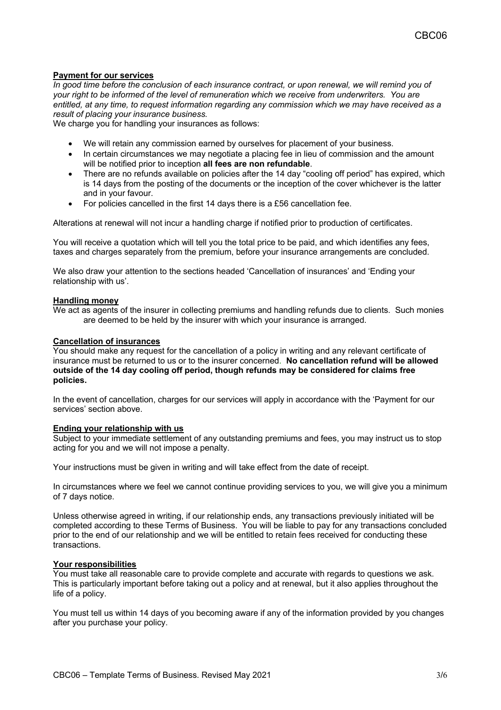## **Payment for our services**

*In good time before the conclusion of each insurance contract, or upon renewal, we will remind you of your right to be informed of the level of remuneration which we receive from underwriters. You are entitled, at any time, to request information regarding any commission which we may have received as a result of placing your insurance business.*

We charge you for handling your insurances as follows:

- We will retain any commission earned by ourselves for placement of your business.
- In certain circumstances we may negotiate a placing fee in lieu of commission and the amount will be notified prior to inception **all fees are non refundable**.
- There are no refunds available on policies after the 14 day "cooling off period" has expired, which is 14 days from the posting of the documents or the inception of the cover whichever is the latter and in your favour.
- For policies cancelled in the first 14 days there is a £56 cancellation fee.

Alterations at renewal will not incur a handling charge if notified prior to production of certificates.

You will receive a quotation which will tell you the total price to be paid, and which identifies any fees, taxes and charges separately from the premium, before your insurance arrangements are concluded.

We also draw your attention to the sections headed 'Cancellation of insurances' and 'Ending your relationship with us'.

## **Handling money**

We act as agents of the insurer in collecting premiums and handling refunds due to clients. Such monies are deemed to be held by the insurer with which your insurance is arranged.

## **Cancellation of insurances**

You should make any request for the cancellation of a policy in writing and any relevant certificate of insurance must be returned to us or to the insurer concerned. **No cancellation refund will be allowed outside of the 14 day cooling off period, though refunds may be considered for claims free policies.**

In the event of cancellation, charges for our services will apply in accordance with the 'Payment for our services' section above.

#### **Ending your relationship with us**

Subject to your immediate settlement of any outstanding premiums and fees, you may instruct us to stop acting for you and we will not impose a penalty.

Your instructions must be given in writing and will take effect from the date of receipt.

In circumstances where we feel we cannot continue providing services to you, we will give you a minimum of 7 days notice.

Unless otherwise agreed in writing, if our relationship ends, any transactions previously initiated will be completed according to these Terms of Business. You will be liable to pay for any transactions concluded prior to the end of our relationship and we will be entitled to retain fees received for conducting these transactions.

#### **Your responsibilities**

You must take all reasonable care to provide complete and accurate with regards to questions we ask. This is particularly important before taking out a policy and at renewal, but it also applies throughout the life of a policy.

You must tell us within 14 days of you becoming aware if any of the information provided by you changes after you purchase your policy.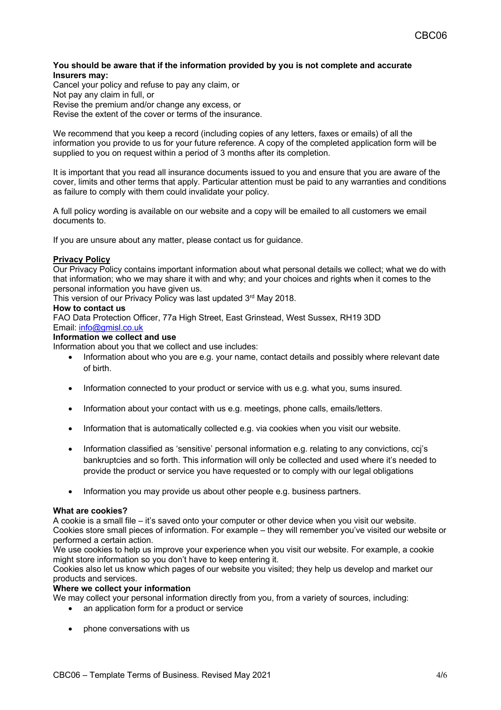## **You should be aware that if the information provided by you is not complete and accurate Insurers may:**

Cancel your policy and refuse to pay any claim, or Not pay any claim in full, or Revise the premium and/or change any excess, or Revise the extent of the cover or terms of the insurance.

We recommend that you keep a record (including copies of any letters, faxes or emails) of all the information you provide to us for your future reference. A copy of the completed application form will be supplied to you on request within a period of 3 months after its completion.

It is important that you read all insurance documents issued to you and ensure that you are aware of the cover, limits and other terms that apply. Particular attention must be paid to any warranties and conditions as failure to comply with them could invalidate your policy.

A full policy wording is available on our website and a copy will be emailed to all customers we email documents to.

If you are unsure about any matter, please contact us for guidance.

## **Privacy Policy**

Our Privacy Policy contains important information about what personal details we collect; what we do with that information; who we may share it with and why; and your choices and rights when it comes to the personal information you have given us.

This version of our Privacy Policy was last updated 3rd May 2018.

## **How to contact us**

FAO Data Protection Officer, 77a High Street, East Grinstead, West Sussex, RH19 3DD Email: info@gmisl.co.uk

## **Information we collect and use**

Information about you that we collect and use includes:

- Information about who you are e.g. your name, contact details and possibly where relevant date of birth.
- Information connected to your product or service with us e.g. what you, sums insured.
- Information about your contact with us e.g. meetings, phone calls, emails/letters.
- Information that is automatically collected e.g. via cookies when you visit our website.
- Information classified as 'sensitive' personal information e.g. relating to any convictions, ccj's bankruptcies and so forth. This information will only be collected and used where it's needed to provide the product or service you have requested or to comply with our legal obligations
- Information you may provide us about other people e.g. business partners.

#### **What are cookies?**

A cookie is a small file – it's saved onto your computer or other device when you visit our website. Cookies store small pieces of information. For example – they will remember you've visited our website or performed a certain action.

We use cookies to help us improve your experience when you visit our website. For example, a cookie might store information so you don't have to keep entering it.

Cookies also let us know which pages of our website you visited; they help us develop and market our products and services.

### **Where we collect your information**

We may collect your personal information directly from you, from a variety of sources, including:

- an application form for a product or service
- phone conversations with us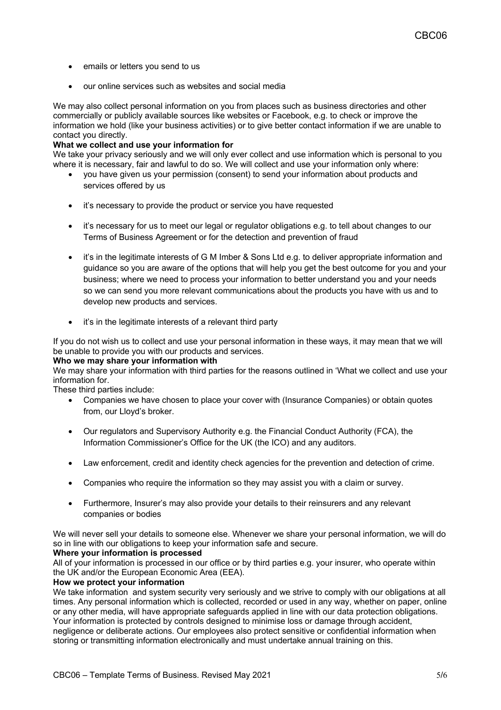- emails or letters you send to us
- our online services such as websites and social media

We may also collect personal information on you from places such as business directories and other commercially or publicly available sources like websites or Facebook, e.g. to check or improve the information we hold (like your business activities) or to give better contact information if we are unable to contact you directly.

## **What we collect and use your information for**

We take your privacy seriously and we will only ever collect and use information which is personal to you where it is necessary, fair and lawful to do so. We will collect and use your information only where:

- you have given us your permission (consent) to send your information about products and services offered by us
- it's necessary to provide the product or service you have requested
- it's necessary for us to meet our legal or regulator obligations e.g. to tell about changes to our Terms of Business Agreement or for the detection and prevention of fraud
- it's in the legitimate interests of G M Imber & Sons Ltd e.g. to deliver appropriate information and guidance so you are aware of the options that will help you get the best outcome for you and your business; where we need to process your information to better understand you and your needs so we can send you more relevant communications about the products you have with us and to develop new products and services.
- it's in the legitimate interests of a relevant third party

If you do not wish us to collect and use your personal information in these ways, it may mean that we will be unable to provide you with our products and services.

### **Who we may share your information with**

We may share your information with third parties for the reasons outlined in 'What we collect and use your information for.

These third parties include:

- Companies we have chosen to place your cover with (Insurance Companies) or obtain quotes from, our Lloyd's broker.
- Our regulators and Supervisory Authority e.g. the Financial Conduct Authority (FCA), the Information Commissioner's Office for the UK (the ICO) and any auditors.
- Law enforcement, credit and identity check agencies for the prevention and detection of crime.
- Companies who require the information so they may assist you with a claim or survey.
- Furthermore, Insurer's may also provide your details to their reinsurers and any relevant companies or bodies

We will never sell your details to someone else. Whenever we share your personal information, we will do so in line with our obligations to keep your information safe and secure.

## **Where your information is processed**

All of your information is processed in our office or by third parties e.g. your insurer, who operate within the UK and/or the European Economic Area (EEA).

## **How we protect your information**

We take information and system security very seriously and we strive to comply with our obligations at all times. Any personal information which is collected, recorded or used in any way, whether on paper, online or any other media, will have appropriate safeguards applied in line with our data protection obligations. Your information is protected by controls designed to minimise loss or damage through accident, negligence or deliberate actions. Our employees also protect sensitive or confidential information when storing or transmitting information electronically and must undertake annual training on this.